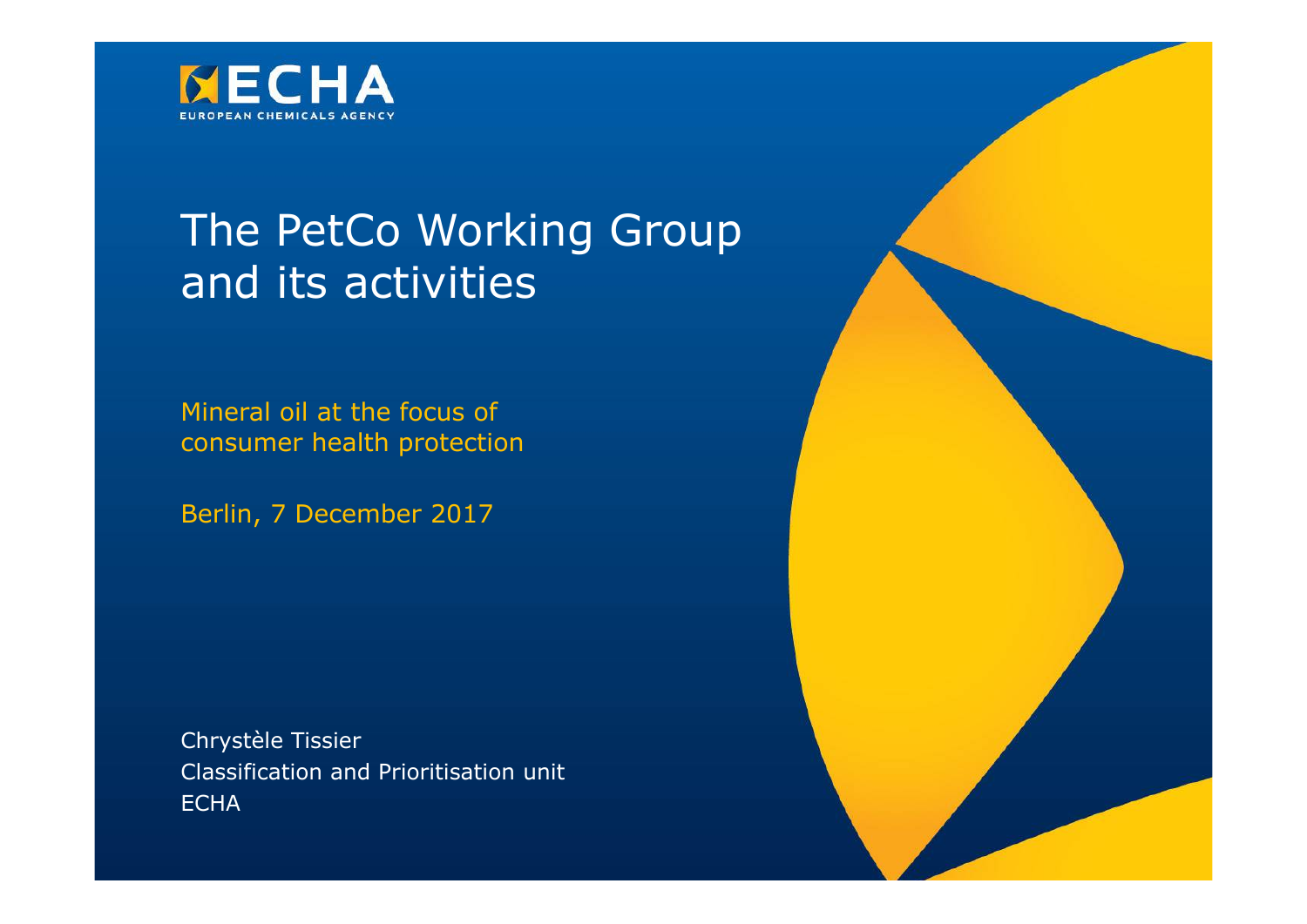

### The PetCo Working Group and its activities

Mineral oil at the focus of consumer health protection

Berlin, 7 December 2017

Chrystèle Tissier Classification and Prioritisation unit **ECHA** 

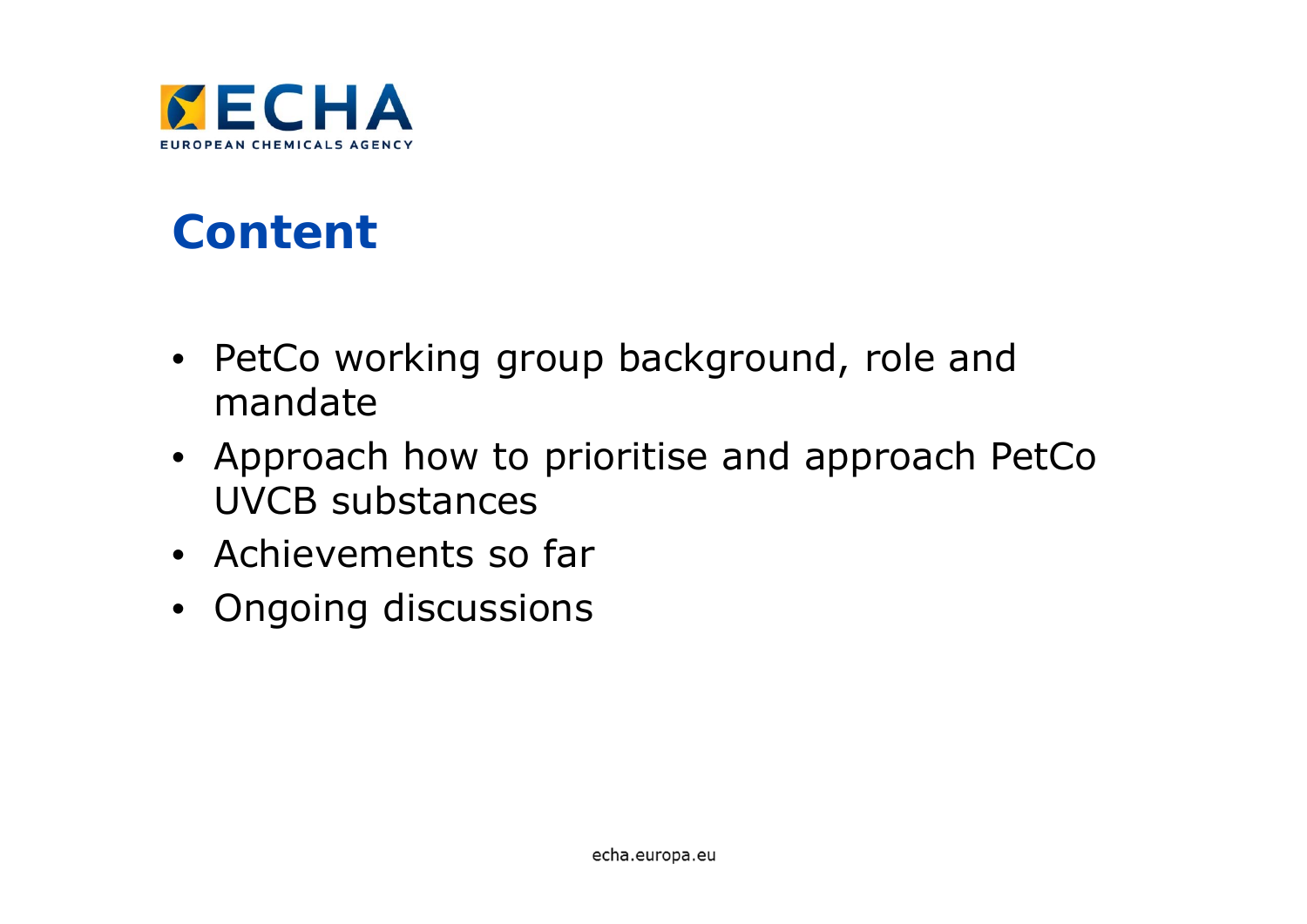

# **Content**

- PetCo working group background, role and mandate
- Approach how to prioritise and approach PetCo UVCB substances
- Achievements so far
- Ongoing discussions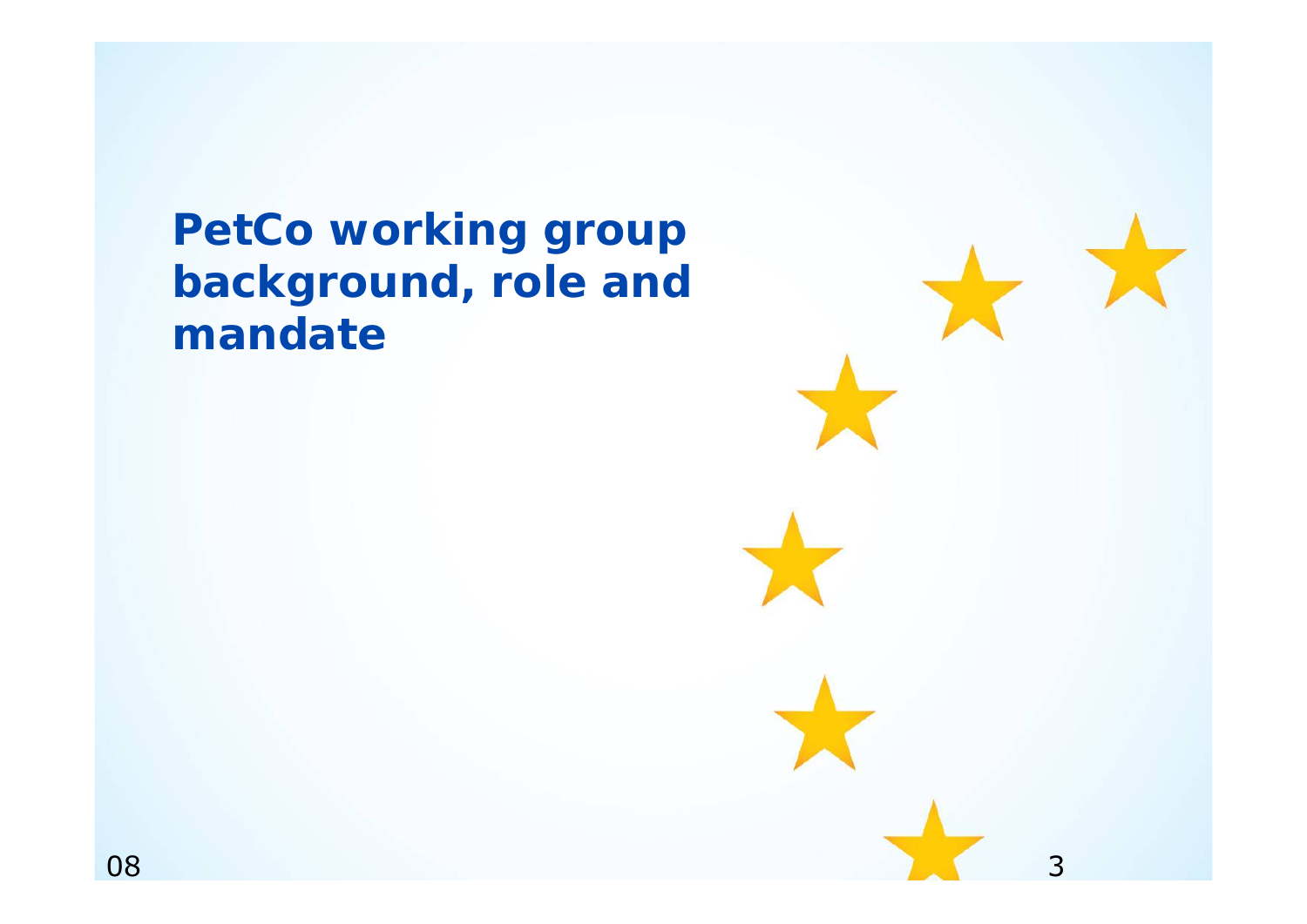**PetCo working group background, role and mandate**

3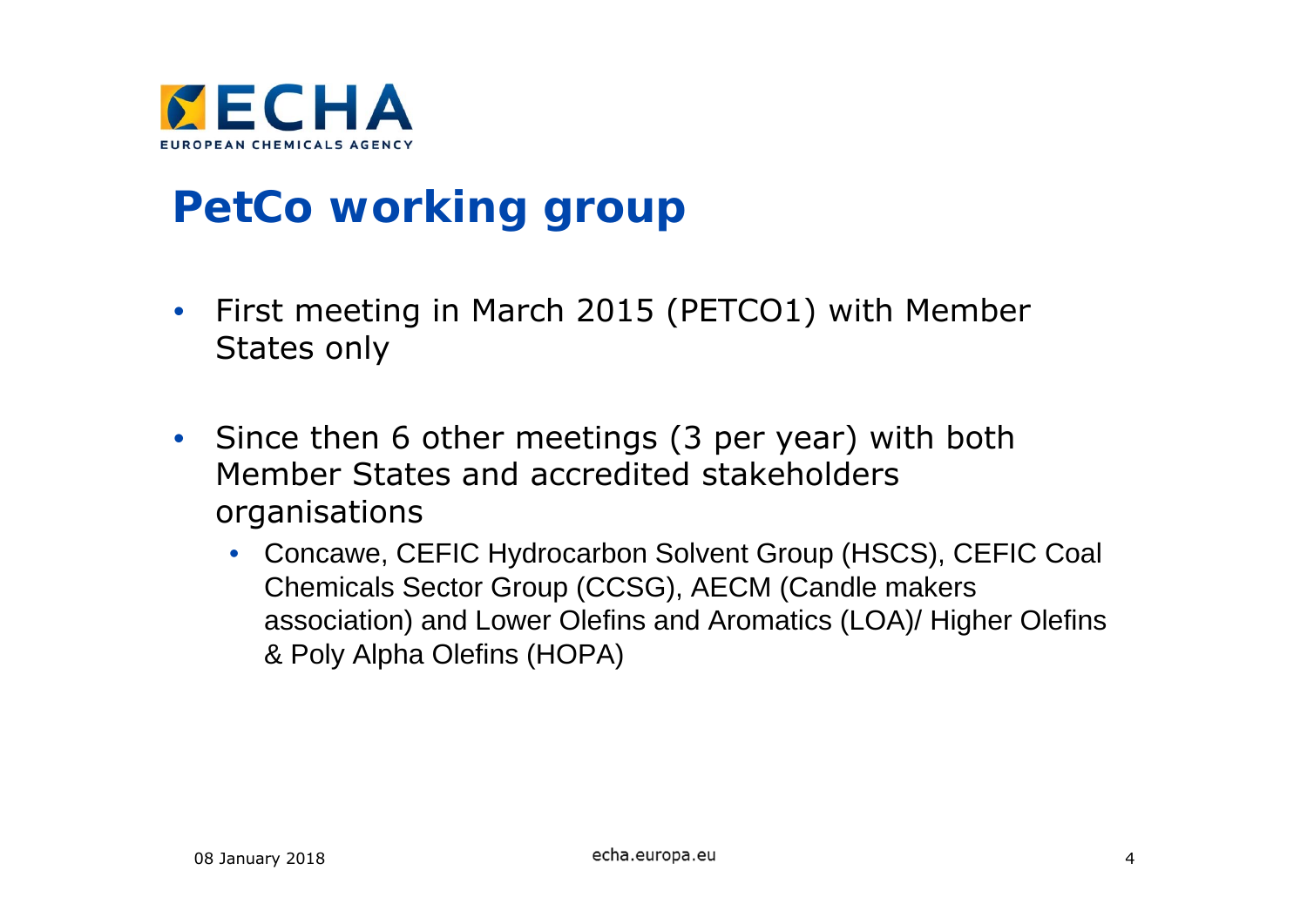

## **PetCo working group**

- $\bullet$  First meeting in March 2015 (PETCO1) with Member States only
- Since then 6 other meetings (3 per year) with both Member States and accredited stakeholders organisations
	- Concawe, CEFIC Hydrocarbon Solvent Group (HSCS), CEFIC Coal Chemicals Sector Group (CCSG), AECM (Candle makers association) and Lower Olefins and Aromatics (LOA)/ Higher Olefins & Poly Alpha Olefins (HOPA)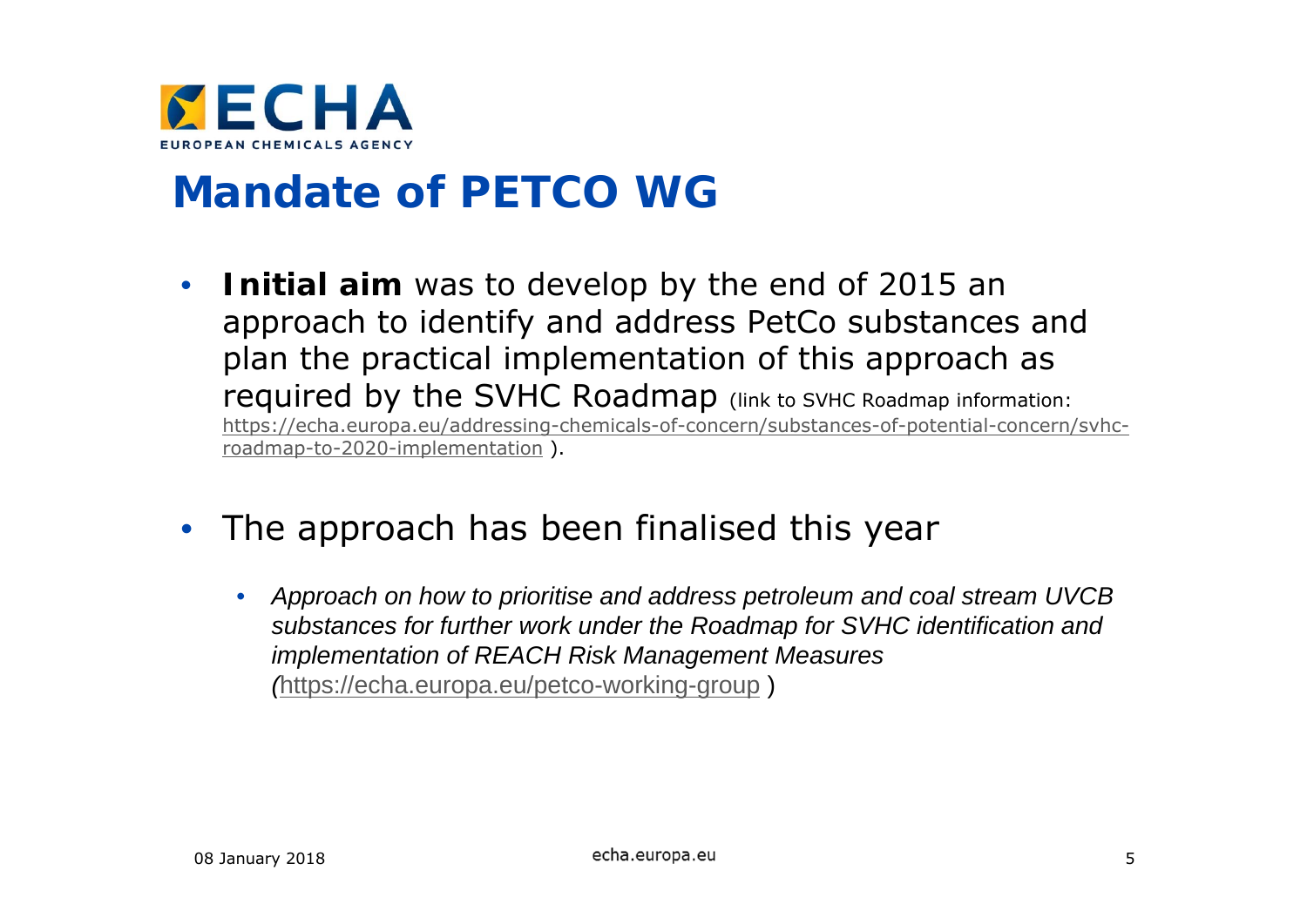

#### **Mandate of PETCO WG**

- $\bullet$  **Initial aim** was to develop by the end of 2015 an approach to identify and address PetCo substances and plan the practical implementation of this approach as required by the SVHC Roadmap (link to SVHC Roadmap information: https://echa.europa.eu/addressing-chemicals-of-concern/substances-of-potential-concern/svhcroadmap-to-2020-implementation ).
- $\bullet$  The approach has been finalised this year
	- $\bullet$  *Approach on how to prioritise and address petroleum and coal stream UVCB substances for further work under the Roadmap for SVHC identification and implementation of REACH Risk Management Measures (*https://echa.europa.eu/petco-working-group )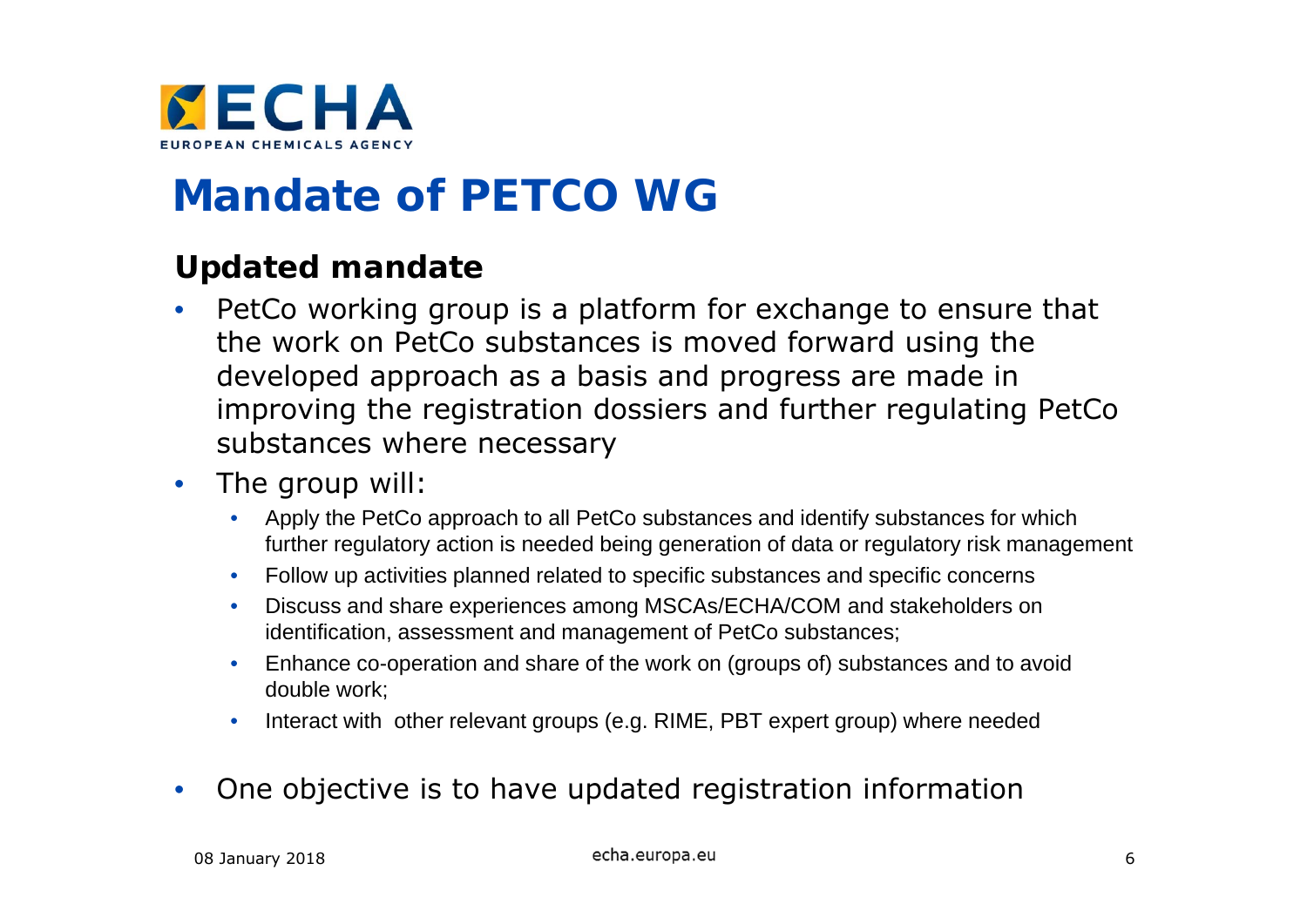

### **Mandate of PETCO WG**

#### **Updated mandate**

- $\bullet$  PetCo working group is a platform for exchange to ensure that the work on PetCo substances is moved forward using the developed approach as a basis and progress are made in improving the registration dossiers and further regulating PetCo substances where necessary
- $\bullet$  The group will:
	- Apply the PetCo approach to all PetCo substances and identify substances for which further regulatory action is needed being generation of data or regulatory risk management
	- Follow up activities planned related to specific substances and specific concerns
	- Discuss and share experiences among MSCAs/ECHA/COM and stakeholders on identification, assessment and management of PetCo substances;
	- Enhance co-operation and share of the work on (groups of) substances and to avoid double work;
	- $\bullet$ Interact with other relevant groups (e.g. RIME, PBT expert group) where needed
- $\bullet$ One objective is to have updated registration information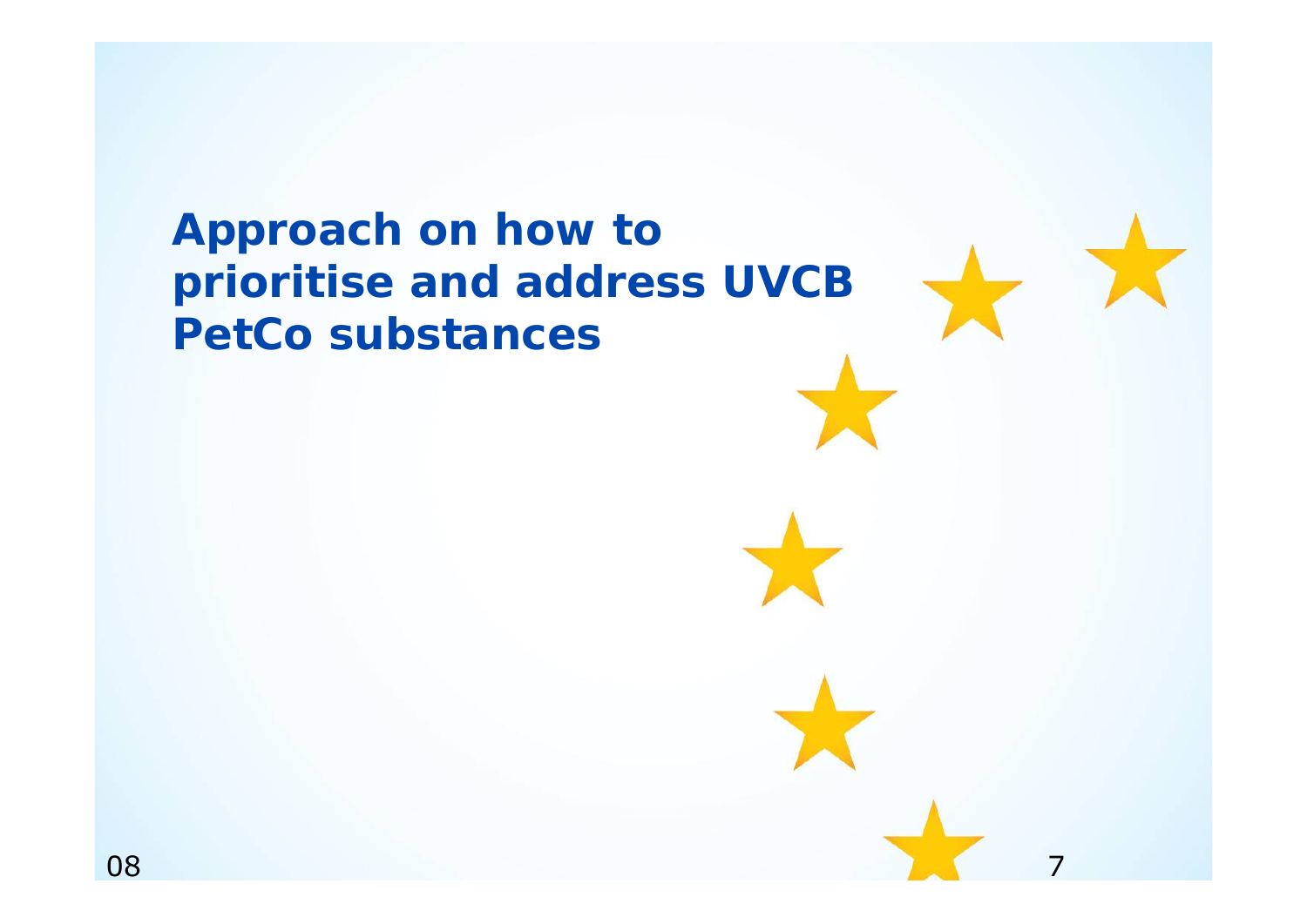### **Approach on how to prioritise and address UVCB PetCo substances**

7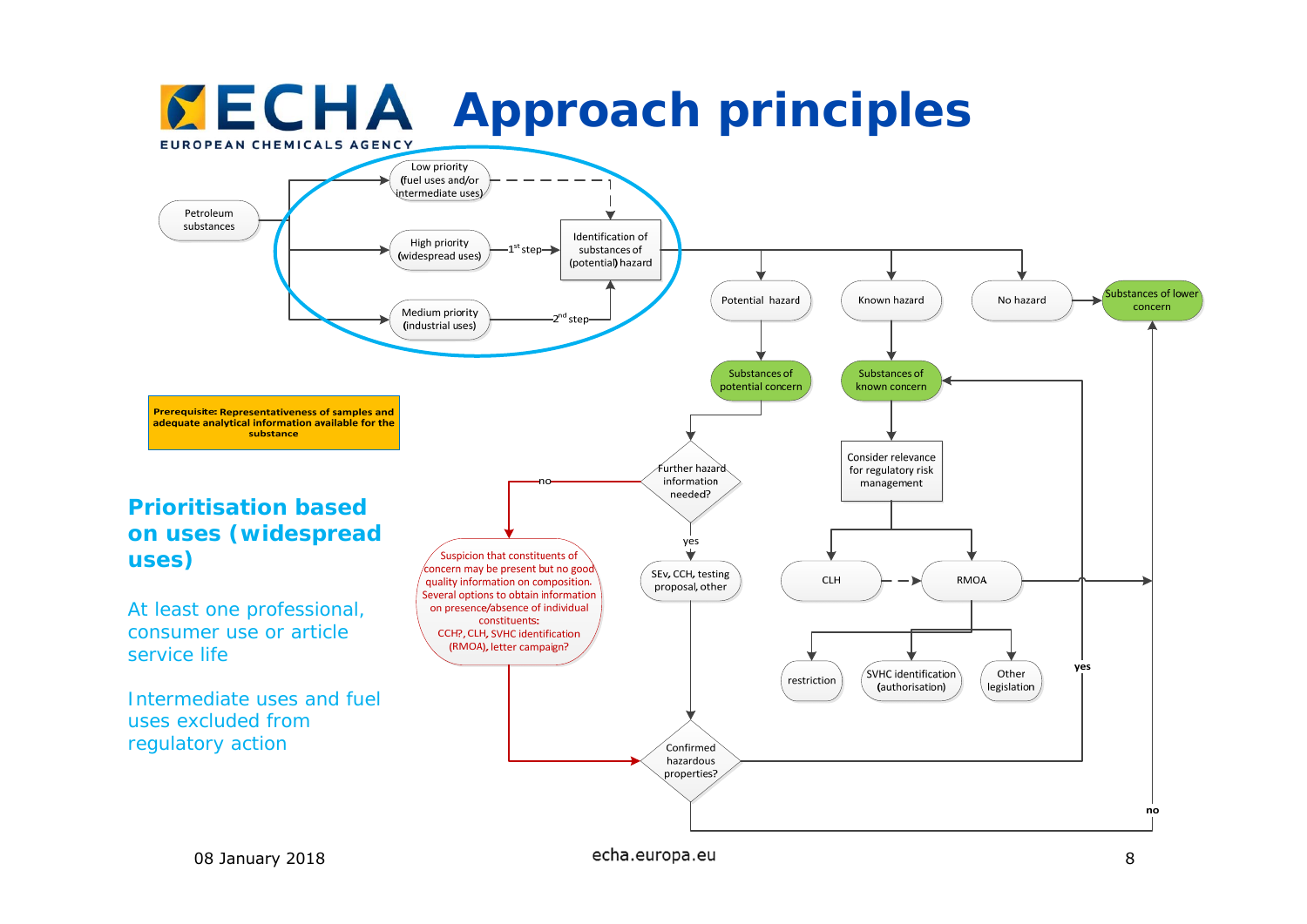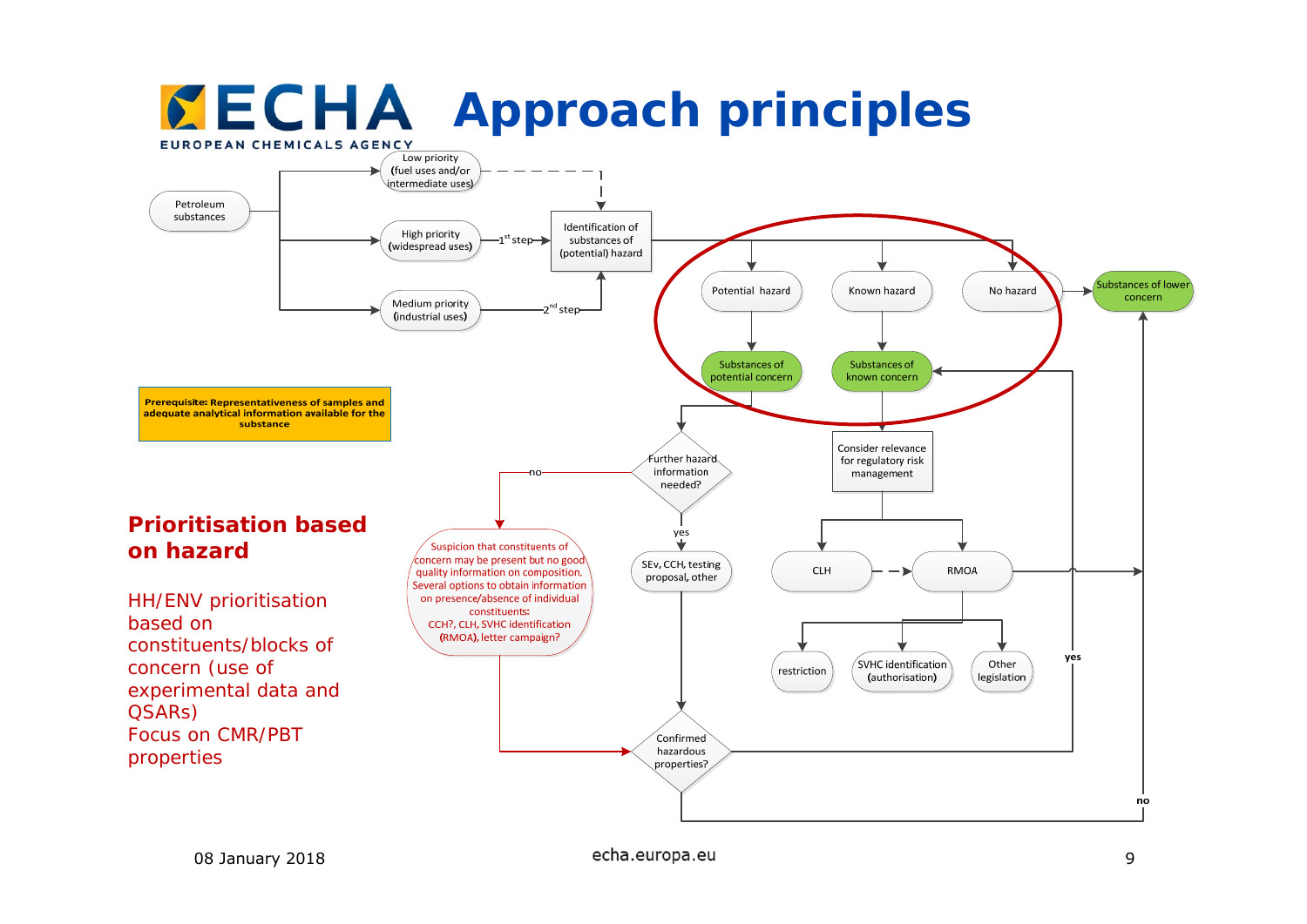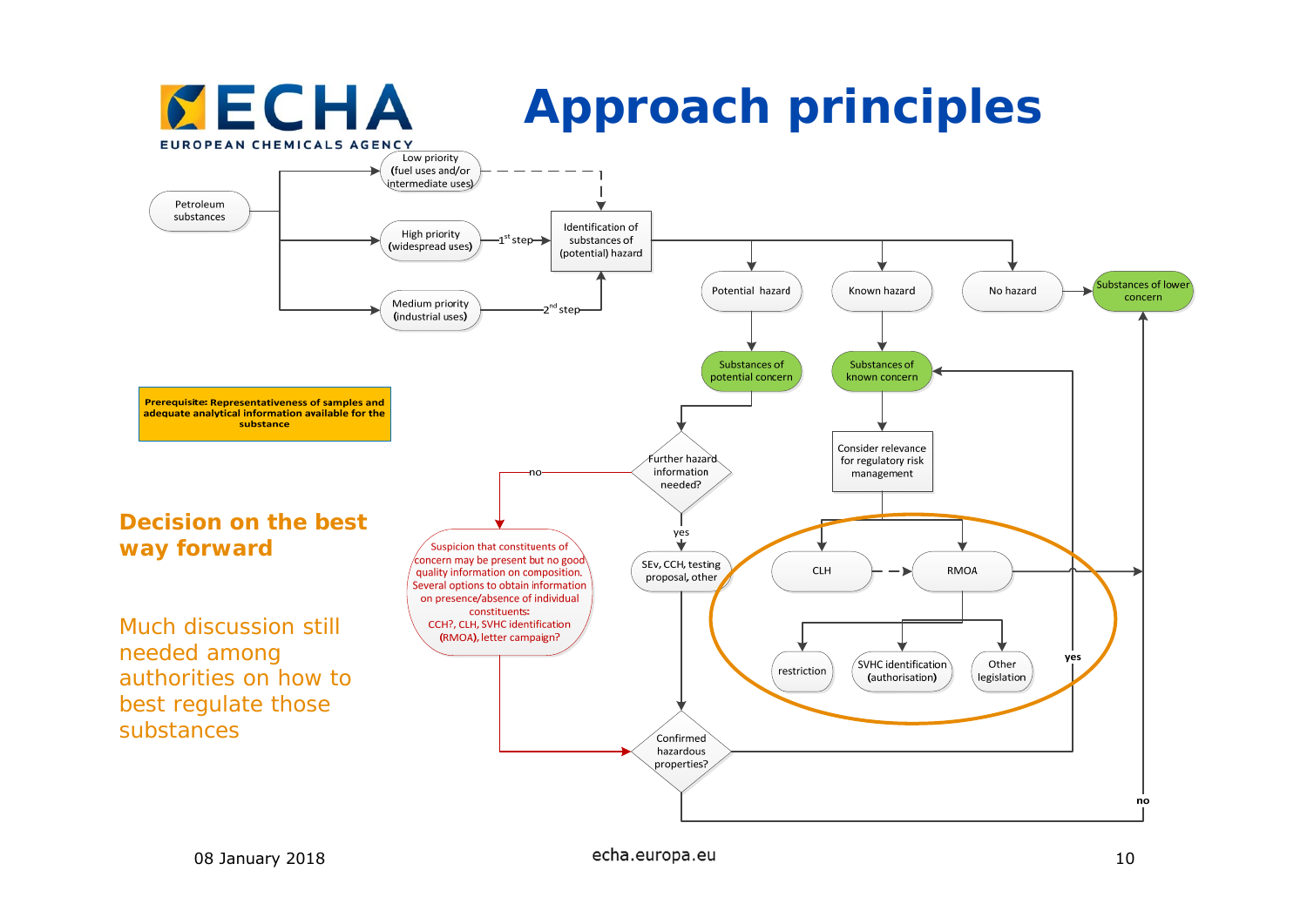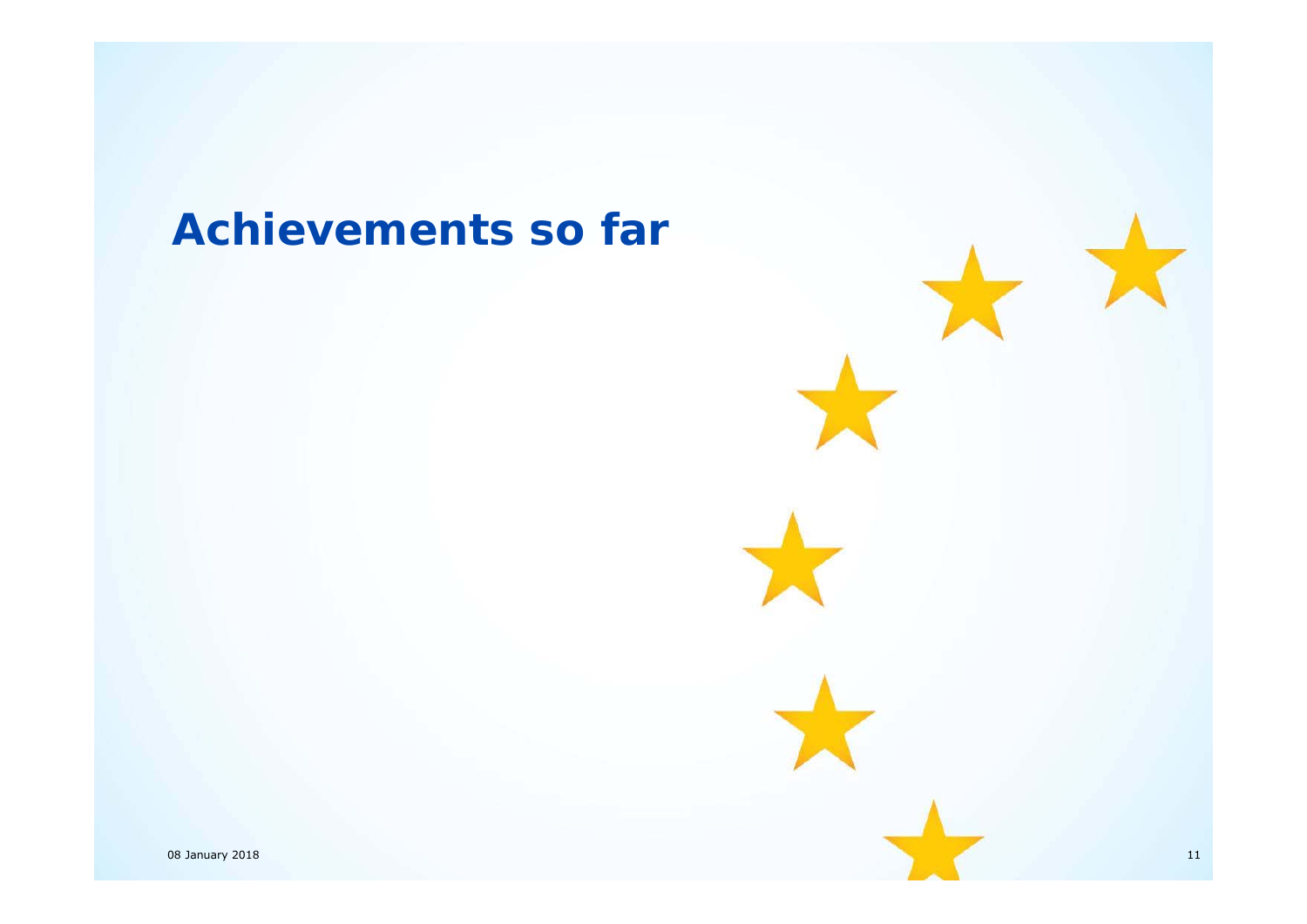### **Achievements so far**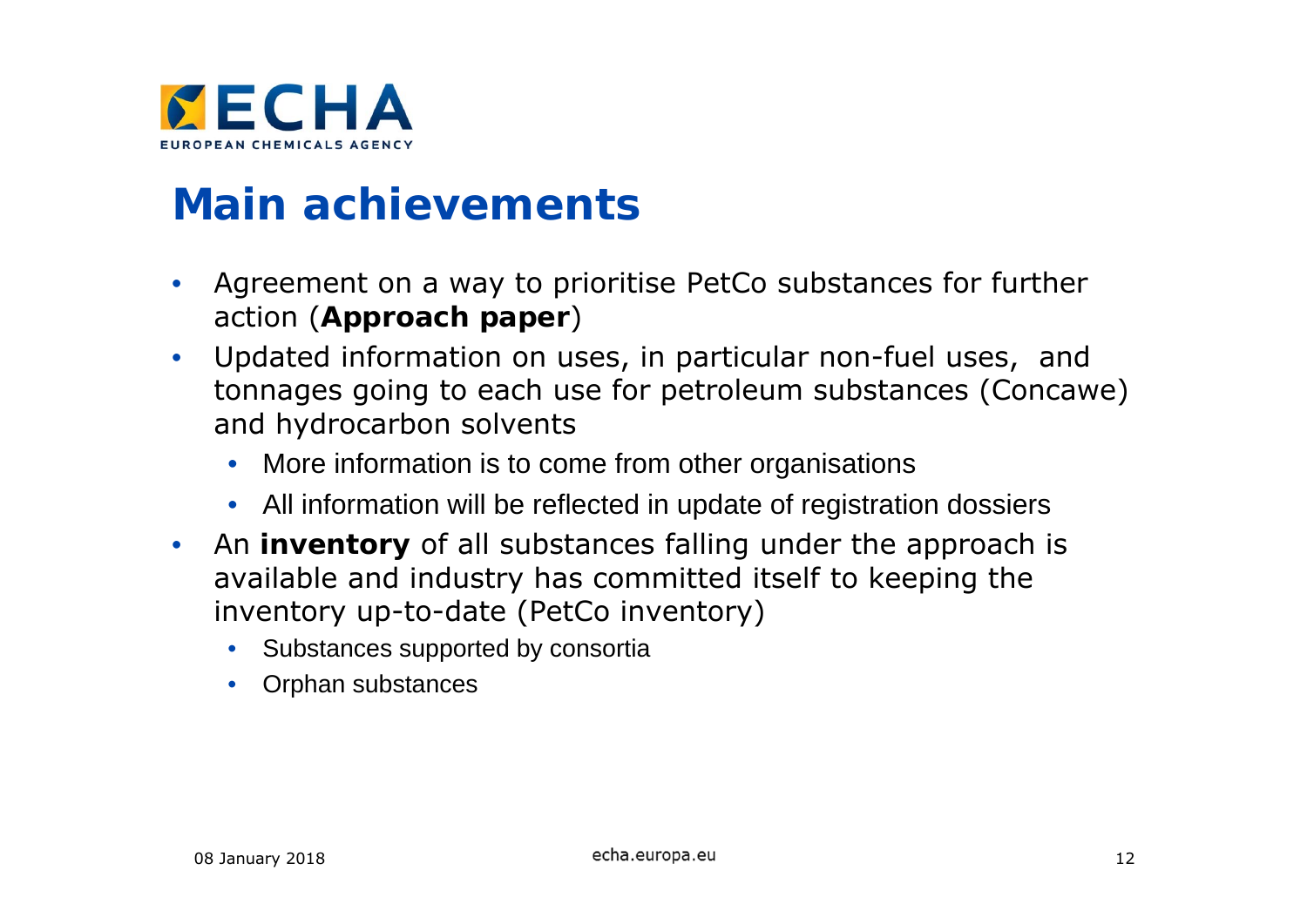

#### **Main achievements**

- • Agreement on a way to prioritise PetCo substances for further action (**Approach paper** )
- $\bullet$  Updated information on uses, in particular non-fuel uses, and tonnages going to each use for petroleum substances (Concawe) and hydrocarbon solvents
	- More information is to come from other organisations
	- All information will be reflected in update of registration dossiers
- • An **inventory** of all substances falling under the approach is available and industry has committed itself to keeping the inventory up-to-date (PetCo inventory)
	- Substances supported by consortia
	- Orphan substances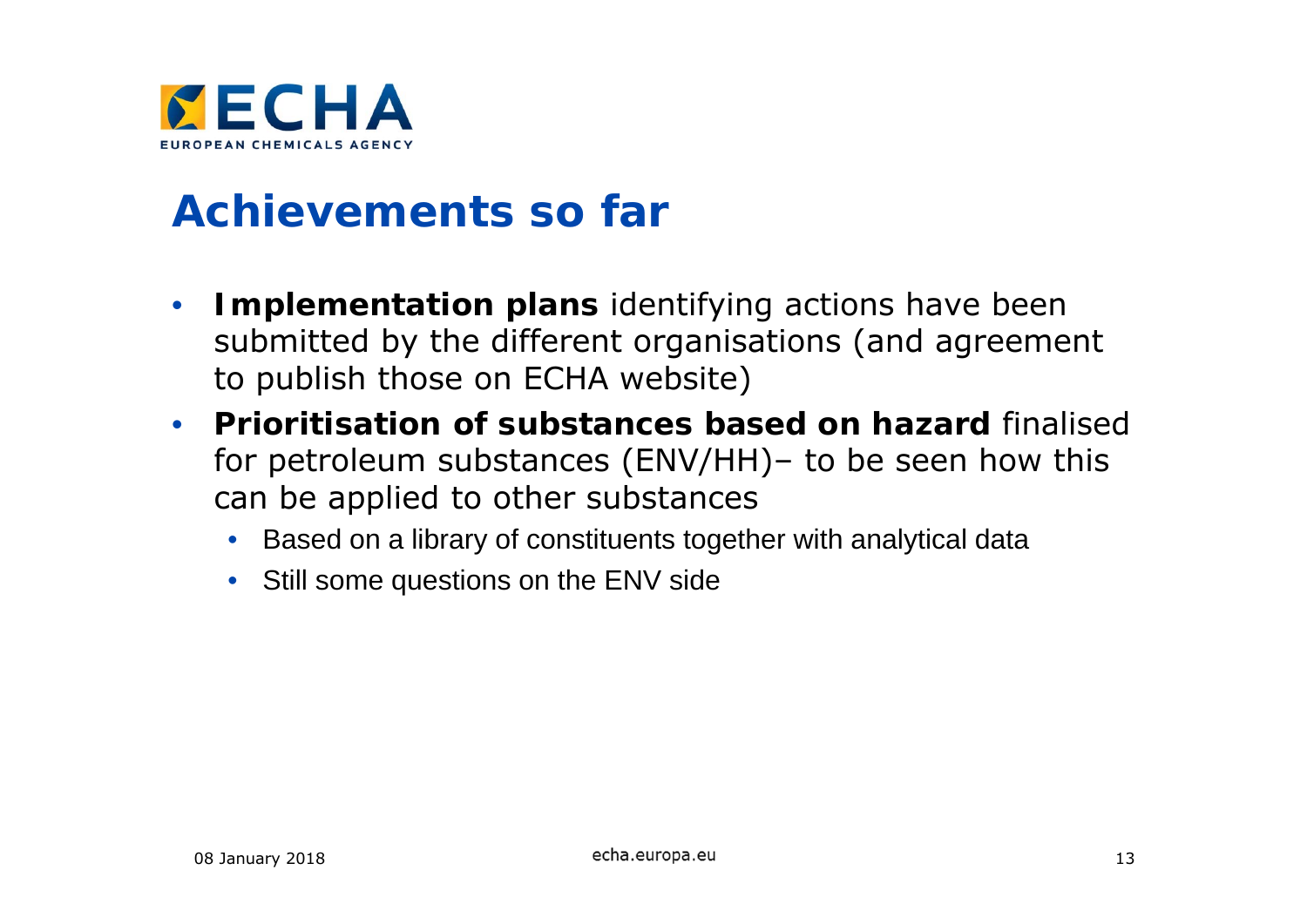

#### **Achievements so far**

- $\bullet$  **Implementation plans** identifying actions have been submitted by the different organisations (and agreement to publish those on ECHA website)
- $\bullet$  **Prioritisation of substances based on hazard** finalised for petroleum substances (ENV/HH)– to be seen how this can be applied to other substances
	- Based on a library of constituents together with analytical data
	- Still some questions on the ENV side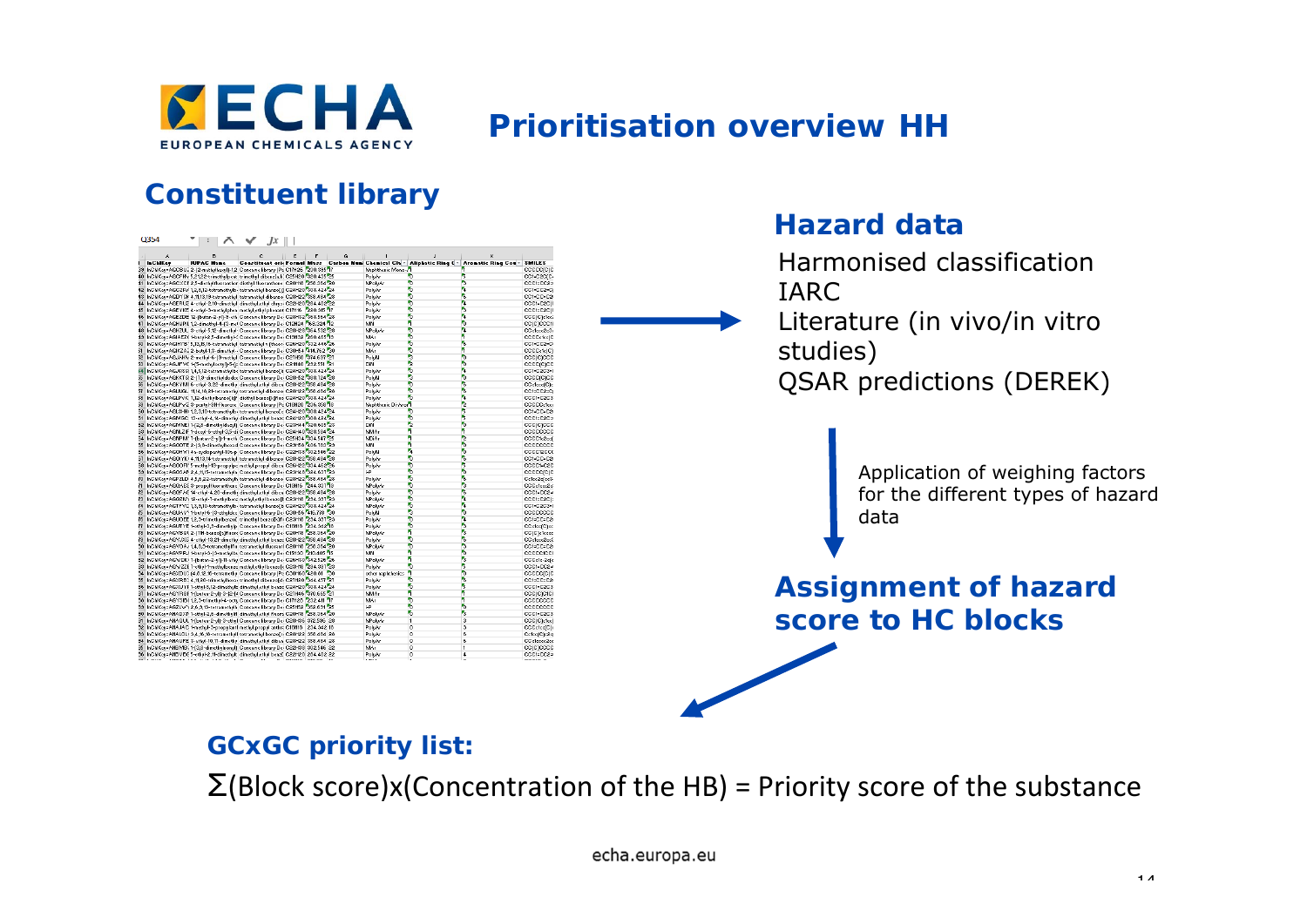

#### **Prioritisation overview HH**

**Hazard data**

#### **Constituent library**

| Q <sub>354</sub>                                                                                                                                                      | $\Box$ $\wedge$ $\vee$ $Jx \Box$ |                                       |              |                    |                                                                                                   |                          |                                     |
|-----------------------------------------------------------------------------------------------------------------------------------------------------------------------|----------------------------------|---------------------------------------|--------------|--------------------|---------------------------------------------------------------------------------------------------|--------------------------|-------------------------------------|
|                                                                                                                                                                       |                                  | $C \parallel E \parallel F \parallel$ | $\mathbf{G}$ |                    |                                                                                                   |                          | Harmonised classification           |
| <b>InChilder</b><br><b>IUPAC Name</b><br>39 InChiKey=AGCBU2 2-(2-methylhexyl)-1,2 Concowe library (Pe C17H26 230.395 17                                               |                                  |                                       |              | Naphthenic Mono    | Constituent orie Formul Mass Carbon Num Chemical Clay Aliphatic Ring Cy Aromatic Ring Couy SMILES | coccorcio                |                                     |
| 10 InChIKey=AGCFHV 5,21,22-trimethylpent_trimethyl dibenz[s,h] C25H20 320.435 25                                                                                      |                                  |                                       |              | PolyAr             |                                                                                                   | CC1=C2C(C                |                                     |
| 11 InChIKey=AGCXCF 2,5-diethylfluoranther diethyl fluoranthene C20H18 258.364 20                                                                                      |                                  |                                       |              | MPoleAr            |                                                                                                   | CCC1=CC2=                |                                     |
| 12 InChiKey=AGCZR/ 1,2,8,12-tetramethylb- tetramethyl benzo[j] C24H20 308.424 24                                                                                      |                                  |                                       |              | PolyAr             |                                                                                                   | CC1=CC2=CI               | <b>IARC</b>                         |
| 13 InChiKey=AGDYSK 4,11,13,19-tetramethyl tetramethyl dibenzo C28H22 358.484 28                                                                                       |                                  |                                       |              | PolyAr             |                                                                                                   | CC1=CC=C2                |                                     |
| 14 InChiKey=AGERUZ 4-ethyl-2,10-dimethyl dimethyl,ethyl chrys- C22H20 284.402 22                                                                                      |                                  |                                       |              | PoleAr             |                                                                                                   | CCC1=C2Cf                |                                     |
| 15 InChiKey=AGEYKE 4-ethyl-3-methylphen methyl,ethylphenant C17H16 220.315 17                                                                                         |                                  |                                       |              | PolyAr             |                                                                                                   | CCC1=C2C(                |                                     |
| 16 InChiKey=AGEZDE 12-(butan-2-yl)-3-eth Concawe library De- C28H32 368.564 28                                                                                        |                                  |                                       |              | PolyAr             |                                                                                                   | CCC(C)clec2              | Literature <i>(in vivo/in vitro</i> |
| 17 InChiKey=AGHIJPIL 1,2-dimethyl-4-(3-met Concowe library De- C12H24 7168.324 72                                                                                     |                                  |                                       |              | <b>MN</b>          |                                                                                                   | cc(c)ccc10               |                                     |
| 18 InChiKey=AGHZUL 3-ethyl-5,12-dimethyl- Concowe library De- C28H28 364.532 28                                                                                       |                                  |                                       |              | MPolyAr            |                                                                                                   | CCclccc2c3c              |                                     |
| 49 InChiKeu=AGIAEZ(1-butul-2.5-dimethul-1 Concewe libraru De- C19H32 260.465-19<br>50 InChiKey=AGIHYB' 5,13,15,16-tetramethyl tetramethyl v (theor- C26H20 332.446 26 |                                  |                                       |              | MAr<br>PolyAr      |                                                                                                   | CCCCclccfC<br>CC1=CC2=C  |                                     |
| 51 InChiKey=AGIKZA2 2-butyl-1,3-dimethyl-- Concawe library De- C30H54 414.762 30                                                                                      |                                  |                                       |              | MAr                |                                                                                                   | CCCCcfc(C)               |                                     |
| 52 InChiKey=AGJAHIv 2-methyl-6-(9-methyl Concowe library De- C27H50 574.697 27                                                                                        |                                  |                                       |              | PolyN              |                                                                                                   | ccc(c)ccc                | studies)                            |
| 53 InChiKey=AGJIFVC 1-(5-methyloctyl)-5-(p Concawe library De- C21H40 232.551 21                                                                                      |                                  |                                       |              | DiN.               |                                                                                                   | cccc(c)cc                |                                     |
| i4 InChiKey=AGJQSQ 1,4,5,12-tetramethylbe tetramethyl benzo[k C24H20 308.424 24                                                                                       |                                  |                                       |              | PolyAr             |                                                                                                   | CC1=C2C3=0               |                                     |
| 55 InChiKey=AGKKTQ 2-[7,3-dimethyldoder Concawe library De- C28H52 388.724 28                                                                                         |                                  |                                       |              | PolyN              |                                                                                                   | cocc(c)co                |                                     |
| 56 InChIKey=AGKYMI 6-ethyl-3,22-dimethy dimethyl,ethyl diben C28H22 358.484 28                                                                                        |                                  |                                       |              | PoleAr             |                                                                                                   | CCc1ccc(C)               | <b>QSAR predictions (DEREK)</b>     |
| 57 InChiKey=AGLNGL 11,14,18,21-tetramethy tetramethyl dibenzo C28H22 358.484 28                                                                                       |                                  |                                       |              | PolyAr             |                                                                                                   | CC1=CC2=C                |                                     |
| 58 InChIKey=AGLPVK 7,12-diethylbenzo[k]f diethyl benzo[k]fluo C24H20 308.424 24                                                                                       |                                  |                                       |              | PolyAr             |                                                                                                   | CCC1=C2C3                |                                     |
| 59 InChiKey=AGLPW2 3-pentyl-9H-fluorene Concowe library (Pe C18H20 236.358 18                                                                                         |                                  |                                       |              | Naphthenic Di-Aron |                                                                                                   | CCCCCc1cc                |                                     |
| 50 InChiKey=AGLSHHI 1,2,3,10-tetramethylb- tetramethyl benzo[e C24H20 308.424 24<br>51 InChiKeu=AGMGC 13-ethul-4.14-dimethu dimethul.ethul benzc C24H20 308.424 24    |                                  |                                       |              | PolyAr             |                                                                                                   | CC1=CC=C2                |                                     |
| 52 InChiKey=AGMNEI 1-(2,8-dimethyldecyl) Concawe library De- C23H44 320.605 23                                                                                        |                                  |                                       |              | PolyAr<br>DiN.     |                                                                                                   | CCC1=C2C=<br>cocretoco   |                                     |
| 53 InChiKey=AGNLZIF 1-decyl-6-ethyl-3,5-di Concowe library De- C24H40 328.584 24                                                                                      |                                  |                                       |              | <b>NMA</b>         |                                                                                                   | coccocco                 |                                     |
| 54 InChiKey=AGNPM' 7-(butan-2-yl)-1-meth Concawe library De- C25H34 334.547 25                                                                                        |                                  |                                       |              | NDiAr              |                                                                                                   | CCCC1c2cc                |                                     |
| 55 InChIKeu=AGODTE 2-13.8-dimetholhexad Concawe libraru De- C29H58 406.783 29                                                                                         |                                  |                                       |              | MN.                |                                                                                                   | cececce                  |                                     |
| 56 InChiKey=AGOHWI 4s-cyclopentyl-10s-p Concswe library De- C22H38 302.546 22                                                                                         |                                  |                                       |              | PolyN              |                                                                                                   | CCCC12CCC                |                                     |
| 57 InChIKey=AGOIYKI 4,11,13,14-tetramethyl tetramethyl dibenzo C28H22 358.484 28                                                                                      |                                  |                                       |              | PolyAr             |                                                                                                   | CC1=CC=C2                |                                     |
| 58 InChIKey=AGOOFI' 5-methyl-13-propylpe methyl,propyl diben C26H22 334.462 26                                                                                        |                                  |                                       |              | PoleAr             |                                                                                                   | CCCC1:C2C                |                                     |
| 59 InChiKey=AGOSAP 2,4,11,15-tetramethyln Concawe library De- C23H48 324.637 23                                                                                       |                                  |                                       |              | j.P                |                                                                                                   | coccordio                | Application of weighing factors     |
| 70 InChiKey=AGPZLD 4,5,6,22-tetramethylh tetramethyl dibenzo C28H22 358.484 28                                                                                        |                                  |                                       |              | PolyAr             |                                                                                                   | Celec2e(cc3              |                                     |
| 71 InChiKey=AGRAES 3-propylfluoranthene Concawe library De- C19H16 244.337 19                                                                                         |                                  |                                       |              | NPolvAr            |                                                                                                   | CCCclecc2c               |                                     |
| 72 InChiKey=AGGFAC 14-ethyl-4,20-dimeth: dimethyl,ethyl diben C28H22 358.484 28                                                                                       |                                  |                                       |              | PolyAr             |                                                                                                   | CCC1=CC2=                | for the different types of hazard   |
| 73 InChiKey=AGQZN's 12-ethyl-7-methylbenz methyl.ethyl benzo[EC23H18 234.33723<br>74 InChiKey=AGTFVC 1,3,3,10-tetramethylb- tetramethyl benzo[b C24H20 308.424 24     |                                  |                                       |              | NPolyAr<br>NPolvAr |                                                                                                   | CCC1=C2C(+<br>CC1=C2C3=0 |                                     |
| 75 InChiKey=AGUAVY 1-butyl-6-[3-ethyldec Concewe library De- C30H56 416.778 50                                                                                        |                                  |                                       |              | PolyN              |                                                                                                   | cccccccc                 |                                     |
| 76 InChIKey=AGUOEE 1,2,3-trimethylbenzo[ trimethyl benzo[k]fli C23H18 234.337 23                                                                                      |                                  |                                       |              | PolyAr             |                                                                                                   | CC1=CC=C2                | data                                |
| 77 InChIKeu=AGUTYE 1-ethul-3.3-dimethulp Concewe libraru De- C18H18 234.342 18                                                                                        |                                  |                                       |              | PoleAr             |                                                                                                   | CCc1ccfC1cc              |                                     |
| 78 InChiKey=AGVBQL 2-{11H-benzo[a]fluore Concawe library De- C20H18 258.364 20                                                                                        |                                  |                                       |              | NPolyAr            |                                                                                                   | CC(C)elecce              |                                     |
| 79 InChiKey=AGVJX6 4-ethyl-13,21-dimethy dimethyl,ethyl benze C28H22 358.484 28                                                                                       |                                  |                                       |              | PolyAr             |                                                                                                   | CCc1ccc2cc3              |                                     |
| 30 InChIKeu=AGVOA/ 1,4,8,9-tetramethulflu tetramethul fluoranti C20H18 258.364 20                                                                                     |                                  |                                       |              | NPolyAr            |                                                                                                   | CC1=CC=C2                |                                     |
| 31 InChiKey=AGVPRJ 1-butyl-3-(3-methylb). Concowe library De- C15H30 210.405 75                                                                                       |                                  |                                       |              | MN.                |                                                                                                   | CCCCCICC                 |                                     |
| 32 InChiKey=AGWDKI 7-(butan-2-yl)-11-ethy Concawe library De- C26H30 342.526 26                                                                                       |                                  |                                       |              | NPolvAr            |                                                                                                   | CCCc1c-2cf               |                                     |
| 33 InChiKey=AGWZZE 7-ethyl-1-methylbenzc methyl,ethyl benzo[c C23H18 234.337 23                                                                                       |                                  |                                       |              | PolyAr             |                                                                                                   | CCC1=CC2=                |                                     |
| 34 InChIKey=AGXDU) (4,8,12,16-tetramethy Concawe library (Pe C30H60 420.81 30<br>35 InChIKey=AGXRB: 4,11,20-trimethylhexs- trimethyl dibenzo[d- C27H20 344.457 27     |                                  |                                       |              | other naphthenics  |                                                                                                   | coccorcio                |                                     |
| 36 InChIKey=AGXUYF 1-ethyl-5,12-dimethyll: dimethyl,ethyl benzc C24H20 308.424 24                                                                                     |                                  |                                       |              | PolyAr<br>PoleAr   |                                                                                                   | CC1=CC=C2<br>CCC1=C2C3   | <b>Assignment of hazard</b>         |
| 37 InChiKey=AGYRQF 1-(butan-2-yl)-3-{2-[4 Concawe library De- C27H46 570.665 27                                                                                       |                                  |                                       |              | NMAr               |                                                                                                   | ccc(c)c1c(               |                                     |
| 38 InChiKey=AGYSIBI 1,2,3-trimethyl-4-octs Concowe library De- C17H28 232.411 77                                                                                      |                                  |                                       |              | MAr                |                                                                                                   | coccocco                 |                                     |
| 39 InChiKey=AGZLW'\ 2,6,3,13-tetramethylh Concawe library De- C25H52 7352.631 25                                                                                      |                                  |                                       |              | i-P                |                                                                                                   | CCCCCCC                  |                                     |
| 30 InChiKey=AHADXM 1-ethyl-2,6-dimethylfl dimethyl,ethyl fluors C20H18 258.364 20                                                                                     |                                  |                                       |              | MPolyAr            |                                                                                                   | CCC1=C2C3                | score to HC blocks                  |
| 31 InChiKey=AHAGUL 1-(butan-2-yl)-3-ethyl Concawe library De- C28H36 372.536 28                                                                                       |                                  |                                       |              | NPolyAr            |                                                                                                   | CCC(C)clcc               |                                     |
| 32 InChiKey=AHAJAC 1-methyl-3-propylant methyl,propyl anthr: C18H18 234.342 18                                                                                        |                                  |                                       |              | PolyAr             |                                                                                                   | CCCcfcc(C)               |                                     |
| 33 InChIKey=AHALOLI 3,4,16,18-tetramethyll tetramethyl benzo[r: C28H22 358.484 28                                                                                     |                                  |                                       |              | PolyAr             |                                                                                                   | Cefec(C)c2c)             |                                     |
| 94 InChiKey=AHAUFE 3-ethyl-10,17-dimethy dimethyl,ethyl diben C28H22 358.484 28                                                                                       |                                  |                                       |              | PolyAr             |                                                                                                   | CCc1cccc2cc              |                                     |
| 35 InChIKey=AHBMB, 1-(3,8-dimethylnonyl) Concawe library De- C22H38 302.546 22                                                                                        |                                  |                                       |              | MAr                |                                                                                                   | corcrocco                |                                     |
|                                                                                                                                                                       |                                  |                                       |              |                    |                                                                                                   | onoso o                  |                                     |
| 96 InChIKey=AHBVBC 5-ethyl-2,11-dimethylt dimethyl,ethyl benz[ C22H20 284.402 22                                                                                      |                                  |                                       |              | PolyAr             |                                                                                                   | CCC1=CC2=                |                                     |

#### **GCxGC priority list:**

Σ(Block score)x(Concentration of the HB) <sup>=</sup> Priority score of the substance

 $\overline{\phantom{a}}$ 

echa.europa.eu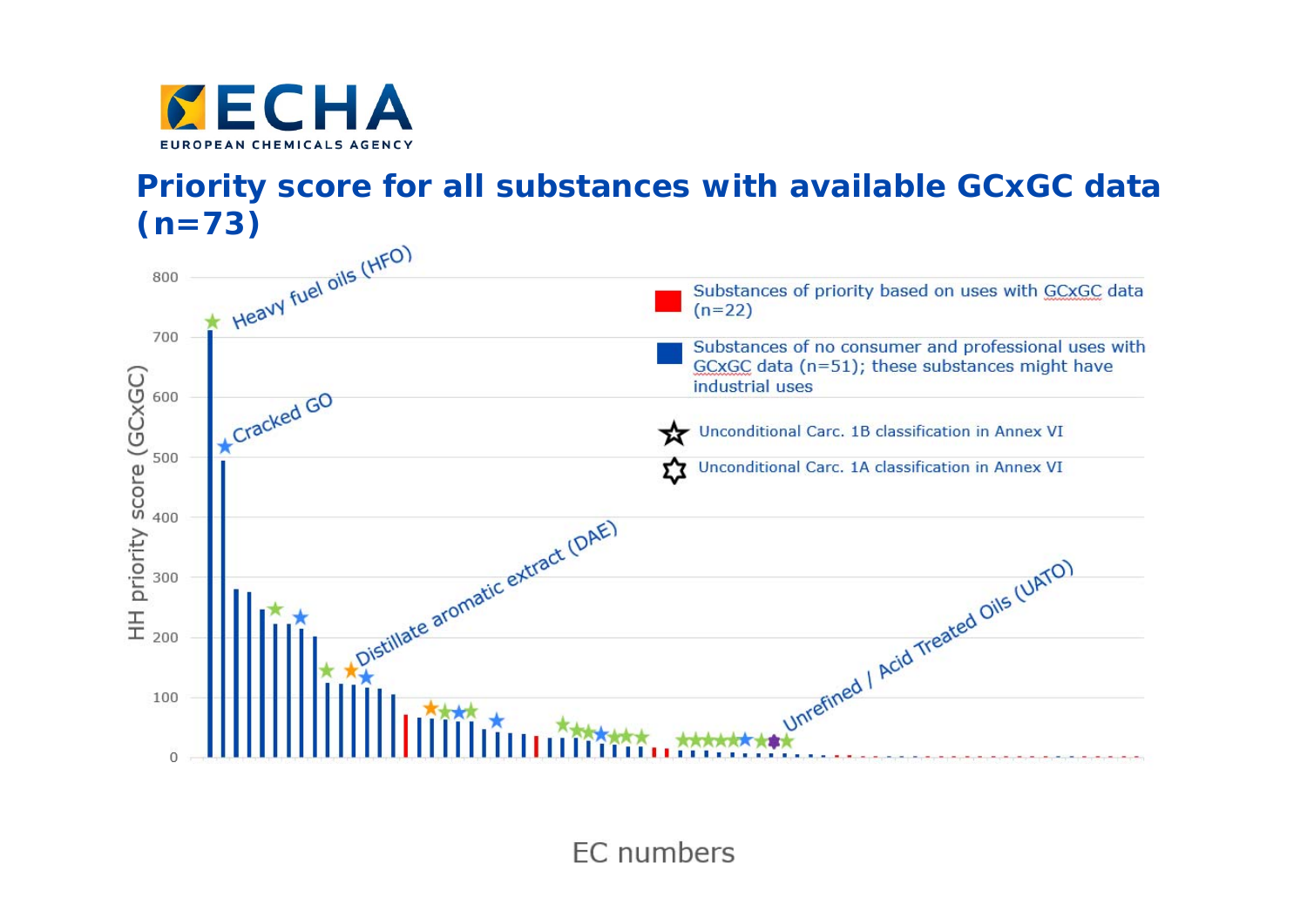

**Priority score for all substances with available GCxGC data** 



**EC** numbers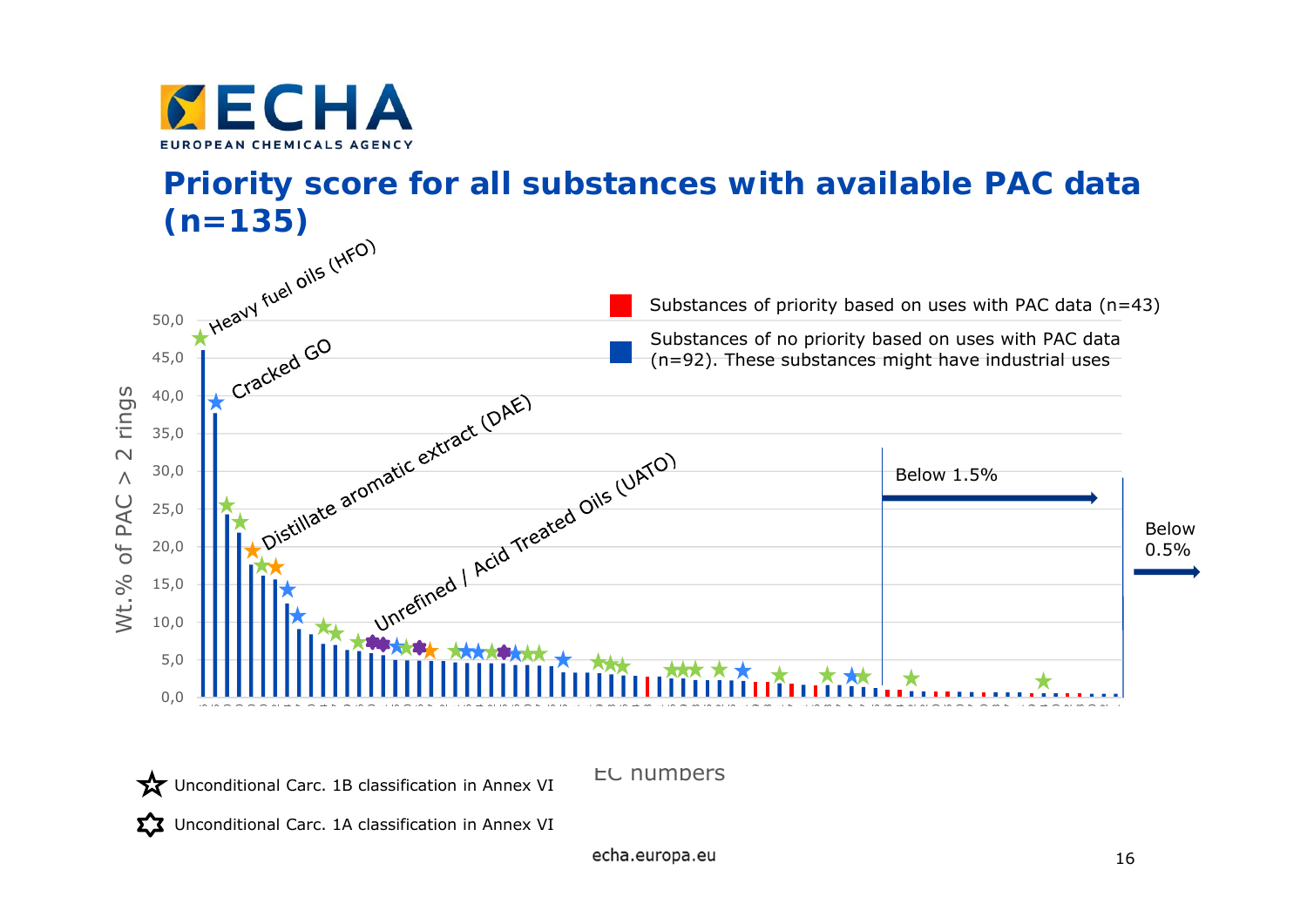

**Priority score for all substances with available PAC data (n=135)**



Unconditional Carc. 1B classification in Annex VI

Unconditional Carc. 1A classification in Annex VI

echa.europa.eu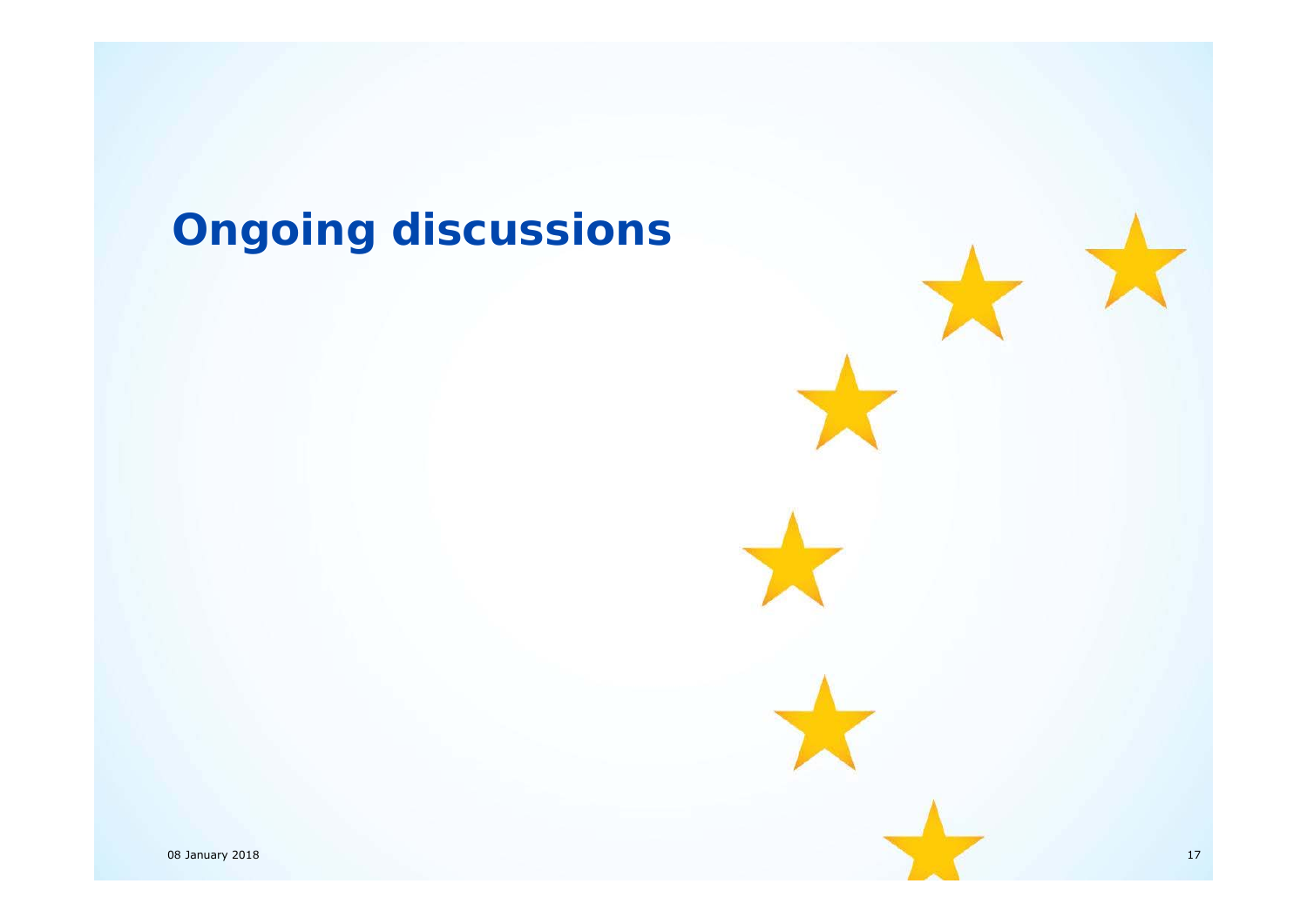# **Ongoing discussions**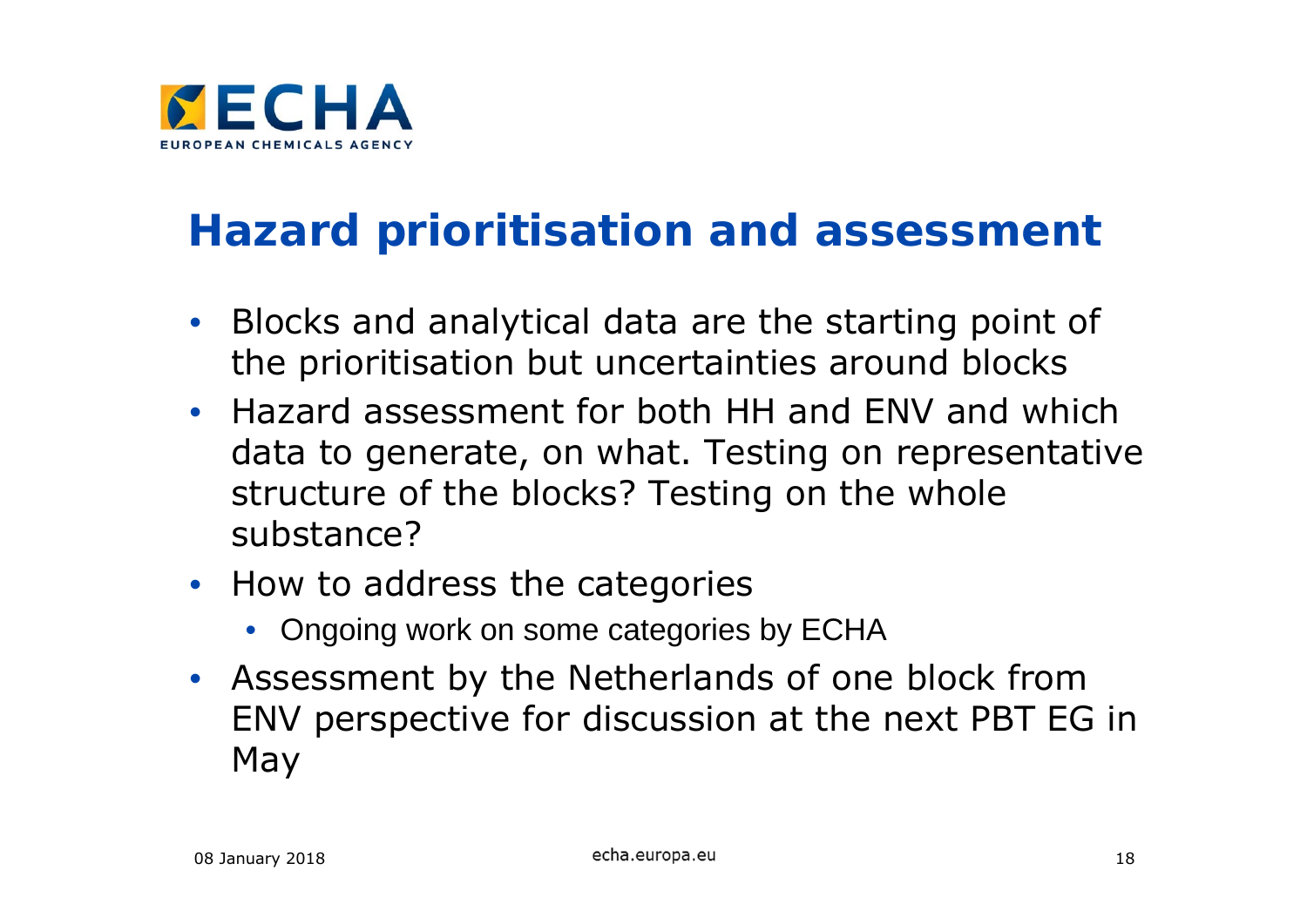

### **Hazard prioritisation and assessment**

- Blocks and analytical data are the starting point of the prioritisation but uncertainties around blocks
- Hazard assessment for both HH and ENV and which data to generate, on what. Testing on representative structure of the blocks? Testing on the whole substance?
- How to address the categories
	- Ongoing work on some categories by ECHA
- Assessment by the Netherlands of one block from ENV perspective for discussion at the next PBT EG in May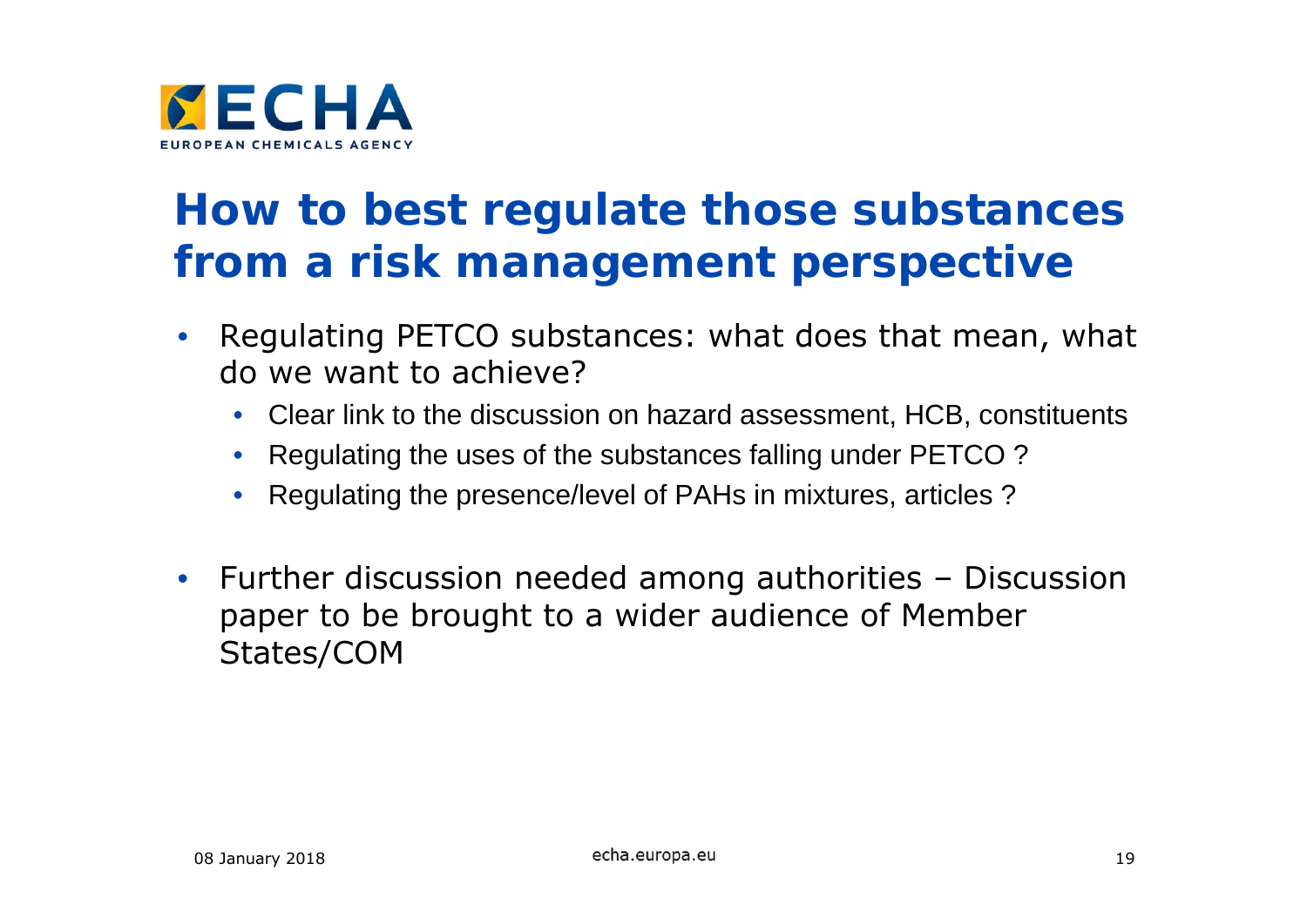

#### **How to best regulate those substances from a risk management perspective**

- $\bullet$  Regulating PETCO substances: what does that mean, what do we want to achieve?
	- Clear link to the discussion on hazard assessment, HCB, constituents
	- Regulating the uses of the substances falling under PETCO ?
	- Regulating the presence/level of PAHs in mixtures, articles ?
- • Further discussion needed among authorities – Discussion paper to be brought to a wider audience of Member States/COM